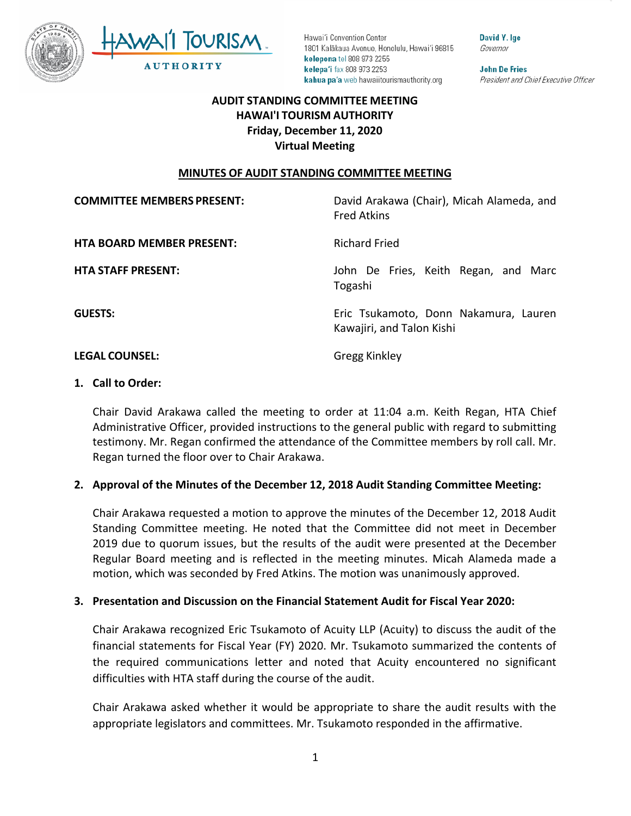



David Y. Ige Governor

**John De Fries** President and Chief Executive Officer

## **AUDIT STANDING COMMITTEE MEETING HAWAI'I TOURISM AUTHORITY Friday, December 11, 2020 Virtual Meeting**

### **MINUTES OF AUDIT STANDING COMMITTEE MEETING**

| <b>COMMITTEE MEMBERS PRESENT:</b> | David Arakawa (Chair), Micah Alameda, and<br><b>Fred Atkins</b>    |
|-----------------------------------|--------------------------------------------------------------------|
| <b>HTA BOARD MEMBER PRESENT:</b>  | <b>Richard Fried</b>                                               |
| <b>HTA STAFF PRESENT:</b>         | John De Fries, Keith Regan, and Marc<br>Togashi                    |
| <b>GUESTS:</b>                    | Eric Tsukamoto, Donn Nakamura, Lauren<br>Kawajiri, and Talon Kishi |
| <b>LEGAL COUNSEL:</b>             | Gregg Kinkley                                                      |

#### **1. Call to Order:**

Chair David Arakawa called the meeting to order at 11:04 a.m. Keith Regan, HTA Chief Administrative Officer, provided instructions to the general public with regard to submitting testimony. Mr. Regan confirmed the attendance of the Committee members by roll call. Mr. Regan turned the floor over to Chair Arakawa.

### **2. Approval of the Minutes of the December 12, 2018 Audit Standing Committee Meeting:**

Chair Arakawa requested a motion to approve the minutes of the December 12, 2018 Audit Standing Committee meeting. He noted that the Committee did not meet in December 2019 due to quorum issues, but the results of the audit were presented at the December Regular Board meeting and is reflected in the meeting minutes. Micah Alameda made a motion, which was seconded by Fred Atkins. The motion was unanimously approved.

### **3. Presentation and Discussion on the Financial Statement Audit for Fiscal Year 2020:**

Chair Arakawa recognized Eric Tsukamoto of Acuity LLP (Acuity) to discuss the audit of the financial statements for Fiscal Year (FY) 2020. Mr. Tsukamoto summarized the contents of the required communications letter and noted that Acuity encountered no significant difficulties with HTA staff during the course of the audit.

Chair Arakawa asked whether it would be appropriate to share the audit results with the appropriate legislators and committees. Mr. Tsukamoto responded in the affirmative.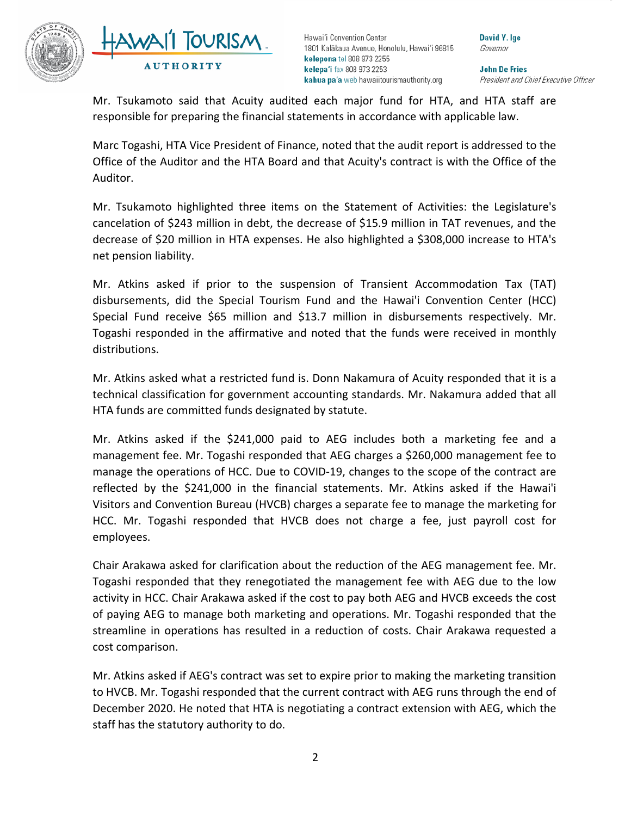



David Y. Ige Governor

**John De Fries** President and Chief Executive Officer

Mr. Tsukamoto said that Acuity audited each major fund for HTA, and HTA staff are responsible for preparing the financial statements in accordance with applicable law.

Marc Togashi, HTA Vice President of Finance, noted that the audit report is addressed to the Office of the Auditor and the HTA Board and that Acuity's contract is with the Office of the Auditor.

Mr. Tsukamoto highlighted three items on the Statement of Activities: the Legislature's cancelation of \$243 million in debt, the decrease of \$15.9 million in TAT revenues, and the decrease of \$20 million in HTA expenses. He also highlighted a \$308,000 increase to HTA's net pension liability.

Mr. Atkins asked if prior to the suspension of Transient Accommodation Tax (TAT) disbursements, did the Special Tourism Fund and the Hawai'i Convention Center (HCC) Special Fund receive \$65 million and \$13.7 million in disbursements respectively. Mr. Togashi responded in the affirmative and noted that the funds were received in monthly distributions.

Mr. Atkins asked what a restricted fund is. Donn Nakamura of Acuity responded that it is a technical classification for government accounting standards. Mr. Nakamura added that all HTA funds are committed funds designated by statute.

Mr. Atkins asked if the \$241,000 paid to AEG includes both a marketing fee and a management fee. Mr. Togashi responded that AEG charges a \$260,000 management fee to manage the operations of HCC. Due to COVID-19, changes to the scope of the contract are reflected by the \$241,000 in the financial statements. Mr. Atkins asked if the Hawai'i Visitors and Convention Bureau (HVCB) charges a separate fee to manage the marketing for HCC. Mr. Togashi responded that HVCB does not charge a fee, just payroll cost for employees.

Chair Arakawa asked for clarification about the reduction of the AEG management fee. Mr. Togashi responded that they renegotiated the management fee with AEG due to the low activity in HCC. Chair Arakawa asked if the cost to pay both AEG and HVCB exceeds the cost of paying AEG to manage both marketing and operations. Mr. Togashi responded that the streamline in operations has resulted in a reduction of costs. Chair Arakawa requested a cost comparison.

Mr. Atkins asked if AEG's contract was set to expire prior to making the marketing transition to HVCB. Mr. Togashi responded that the current contract with AEG runs through the end of December 2020. He noted that HTA is negotiating a contract extension with AEG, which the staff has the statutory authority to do.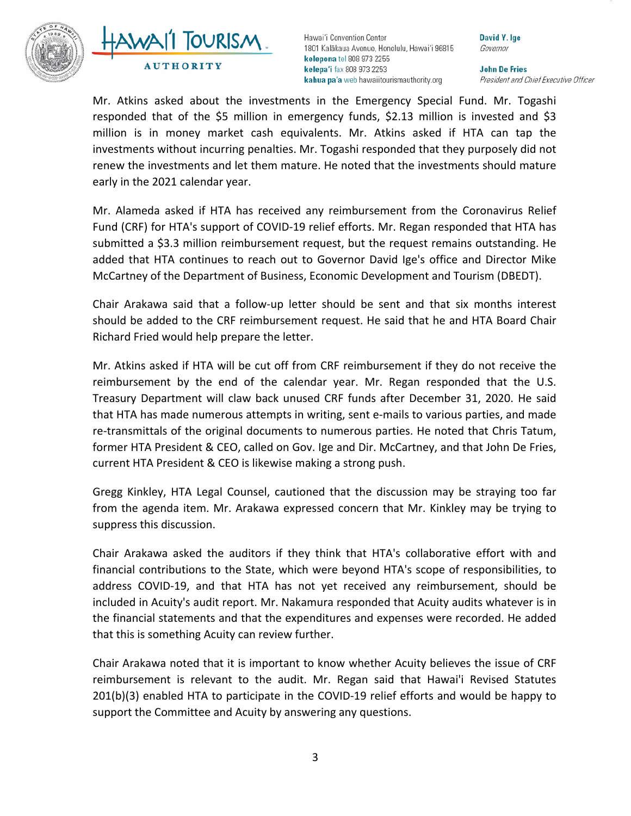



David Y. Ige Governor

**John De Fries** President and Chief Executive Officer

Mr. Atkins asked about the investments in the Emergency Special Fund. Mr. Togashi responded that of the \$5 million in emergency funds, \$2.13 million is invested and \$3 million is in money market cash equivalents. Mr. Atkins asked if HTA can tap the investments without incurring penalties. Mr. Togashi responded that they purposely did not renew the investments and let them mature. He noted that the investments should mature early in the 2021 calendar year.

Mr. Alameda asked if HTA has received any reimbursement from the Coronavirus Relief Fund (CRF) for HTA's support of COVID-19 relief efforts. Mr. Regan responded that HTA has submitted a \$3.3 million reimbursement request, but the request remains outstanding. He added that HTA continues to reach out to Governor David Ige's office and Director Mike McCartney of the Department of Business, Economic Development and Tourism (DBEDT).

Chair Arakawa said that a follow-up letter should be sent and that six months interest should be added to the CRF reimbursement request. He said that he and HTA Board Chair Richard Fried would help prepare the letter.

Mr. Atkins asked if HTA will be cut off from CRF reimbursement if they do not receive the reimbursement by the end of the calendar year. Mr. Regan responded that the U.S. Treasury Department will claw back unused CRF funds after December 31, 2020. He said that HTA has made numerous attempts in writing, sent e-mails to various parties, and made re-transmittals of the original documents to numerous parties. He noted that Chris Tatum, former HTA President & CEO, called on Gov. Ige and Dir. McCartney, and that John De Fries, current HTA President & CEO is likewise making a strong push.

Gregg Kinkley, HTA Legal Counsel, cautioned that the discussion may be straying too far from the agenda item. Mr. Arakawa expressed concern that Mr. Kinkley may be trying to suppress this discussion.

Chair Arakawa asked the auditors if they think that HTA's collaborative effort with and financial contributions to the State, which were beyond HTA's scope of responsibilities, to address COVID-19, and that HTA has not yet received any reimbursement, should be included in Acuity's audit report. Mr. Nakamura responded that Acuity audits whatever is in the financial statements and that the expenditures and expenses were recorded. He added that this is something Acuity can review further.

Chair Arakawa noted that it is important to know whether Acuity believes the issue of CRF reimbursement is relevant to the audit. Mr. Regan said that Hawai'i Revised Statutes 201(b)(3) enabled HTA to participate in the COVID-19 relief efforts and would be happy to support the Committee and Acuity by answering any questions.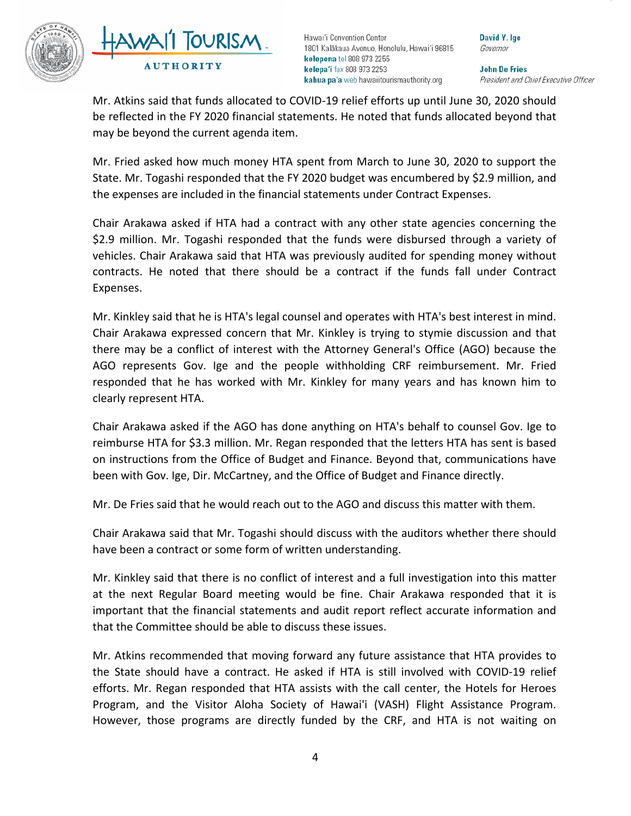



David Y. Ige Governor

**John De Fries** President and Chief Executive Officer

Mr. Atkins said that funds allocated to COVID-19 relief efforts up until June 30, 2020 should be reflected in the FY 2020 financial statements. He noted that funds allocated beyond that may be beyond the current agenda item.

Mr. Fried asked how much money HTA spent from March to June 30, 2020 to support the State. Mr. Togashi responded that the FY 2020 budget was encumbered by \$2.9 million, and the expenses are included in the financial statements under Contract Expenses.

Chair Arakawa asked if HTA had a contract with any other state agencies concerning the \$2.9 million. Mr. Togashi responded that the funds were disbursed through a variety of vehicles. Chair Arakawa said that HTA was previously audited for spending money without contracts. He noted that there should be a contract if the funds fall under Contract Expenses.

Mr. Kinkley said that he is HTA's legal counsel and operates with HTA's best interest in mind. Chair Arakawa expressed concern that Mr. Kinkley is trying to stymie discussion and that there may be a conflict of interest with the Attorney General's Office (AGO) because the AGO represents Gov. Ige and the people withholding CRF reimbursement. Mr. Fried responded that he has worked with Mr. Kinkley for many years and has known him to clearly represent HTA.

Chair Arakawa asked if the AGO has done anything on HTA's behalf to counsel Gov. Ige to reimburse HTA for \$3.3 million. Mr. Regan responded that the letters HTA has sent is based on instructions from the Office of Budget and Finance. Beyond that, communications have been with Gov. Ige, Dir. McCartney, and the Office of Budget and Finance directly.

Mr. De Fries said that he would reach out to the AGO and discuss this matter with them.

Chair Arakawa said that Mr. Togashi should discuss with the auditors whether there should have been a contract or some form of written understanding.

Mr. Kinkley said that there is no conflict of interest and a full investigation into this matter at the next Regular Board meeting would be fine. Chair Arakawa responded that it is important that the financial statements and audit report reflect accurate information and that the Committee should be able to discuss these issues.

Mr. Atkins recommended that moving forward any future assistance that HTA provides to the State should have a contract. He asked if HTA is still involved with COVID-19 relief efforts. Mr. Regan responded that HTA assists with the call center, the Hotels for Heroes Program, and the Visitor Aloha Society of Hawai'i (VASH) Flight Assistance Program. However, those programs are directly funded by the CRF, and HTA is not waiting on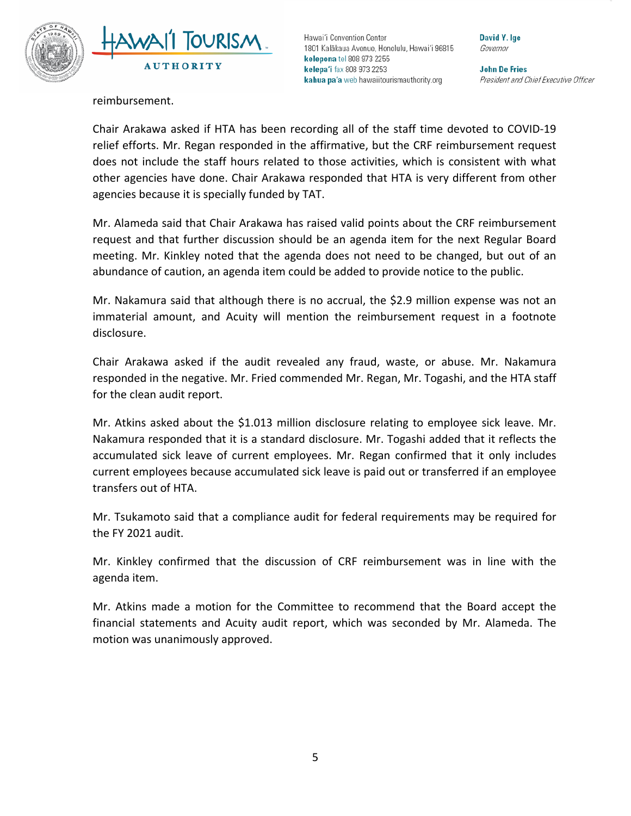



David Y. Ige Governor

**John De Fries** President and Chief Executive Officer

reimbursement.

Chair Arakawa asked if HTA has been recording all of the staff time devoted to COVID-19 relief efforts. Mr. Regan responded in the affirmative, but the CRF reimbursement request does not include the staff hours related to those activities, which is consistent with what other agencies have done. Chair Arakawa responded that HTA is very different from other agencies because it is specially funded by TAT.

Mr. Alameda said that Chair Arakawa has raised valid points about the CRF reimbursement request and that further discussion should be an agenda item for the next Regular Board meeting. Mr. Kinkley noted that the agenda does not need to be changed, but out of an abundance of caution, an agenda item could be added to provide notice to the public.

Mr. Nakamura said that although there is no accrual, the \$2.9 million expense was not an immaterial amount, and Acuity will mention the reimbursement request in a footnote disclosure.

Chair Arakawa asked if the audit revealed any fraud, waste, or abuse. Mr. Nakamura responded in the negative. Mr. Fried commended Mr. Regan, Mr. Togashi, and the HTA staff for the clean audit report.

Mr. Atkins asked about the \$1.013 million disclosure relating to employee sick leave. Mr. Nakamura responded that it is a standard disclosure. Mr. Togashi added that it reflects the accumulated sick leave of current employees. Mr. Regan confirmed that it only includes current employees because accumulated sick leave is paid out or transferred if an employee transfers out of HTA.

Mr. Tsukamoto said that a compliance audit for federal requirements may be required for the FY 2021 audit.

Mr. Kinkley confirmed that the discussion of CRF reimbursement was in line with the agenda item.

Mr. Atkins made a motion for the Committee to recommend that the Board accept the financial statements and Acuity audit report, which was seconded by Mr. Alameda. The motion was unanimously approved.